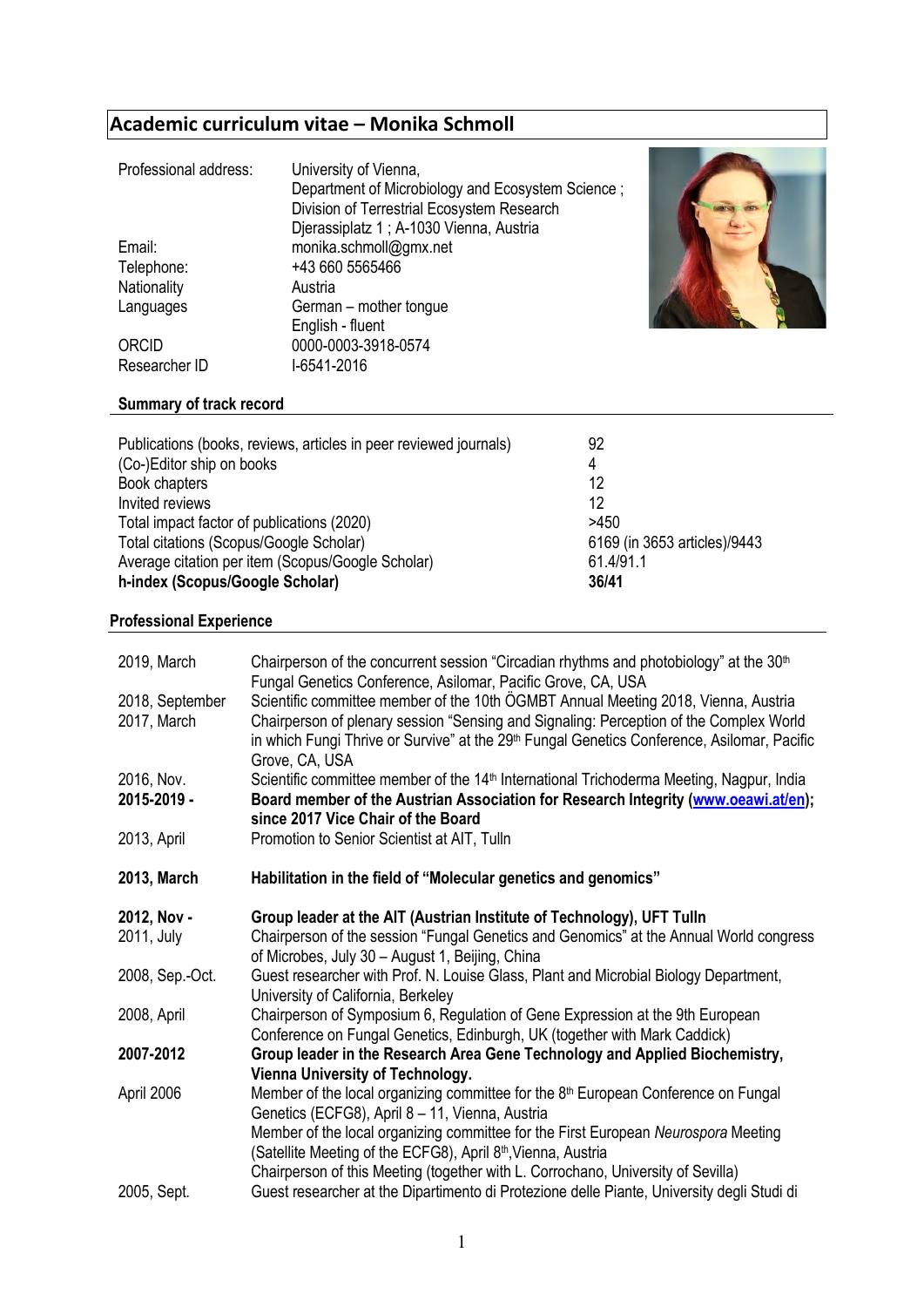# **Academic curriculum vitae – Monika Schmoll**

| Professional address: | University of Vienna,                             |
|-----------------------|---------------------------------------------------|
|                       | Department of Microbiology and Ecosystem Science; |
|                       | Division of Terrestrial Ecosystem Research        |
|                       | Djerassiplatz 1; A-1030 Vienna, Austria           |
| Email:                | monika.schmoll@gmx.net                            |
| Telephone:            | +43 660 5565466                                   |
| Nationality           | Austria                                           |
| Languages             | German - mother tongue                            |
|                       | English - fluent                                  |
| ORCID                 | 0000-0003-3918-0574                               |
| Researcher ID         | I-6541-2016                                       |



## **Summary of track record**

| Publications (books, reviews, articles in peer reviewed journals) | 92                           |
|-------------------------------------------------------------------|------------------------------|
| (Co-)Editor ship on books                                         | 4                            |
| Book chapters                                                     | 12                           |
| Invited reviews                                                   | 12                           |
| Total impact factor of publications (2020)                        | >450                         |
| Total citations (Scopus/Google Scholar)                           | 6169 (in 3653 articles)/9443 |
| Average citation per item (Scopus/Google Scholar)                 | 61.4/91.1                    |
| h-index (Scopus/Google Scholar)                                   | 36/41                        |

#### **Professional Experience**

| 2019, March<br>2018, September<br>2017, March | Chairperson of the concurrent session "Circadian rhythms and photobiology" at the 30 <sup>th</sup><br>Fungal Genetics Conference, Asilomar, Pacific Grove, CA, USA<br>Scientific committee member of the 10th OGMBT Annual Meeting 2018, Vienna, Austria<br>Chairperson of plenary session "Sensing and Signaling: Perception of the Complex World<br>in which Fungi Thrive or Survive" at the 29 <sup>th</sup> Fungal Genetics Conference, Asilomar, Pacific<br>Grove, CA, USA |
|-----------------------------------------------|---------------------------------------------------------------------------------------------------------------------------------------------------------------------------------------------------------------------------------------------------------------------------------------------------------------------------------------------------------------------------------------------------------------------------------------------------------------------------------|
| 2016, Nov.<br>2015-2019 -                     | Scientific committee member of the 14 <sup>th</sup> International Trichoderma Meeting, Nagpur, India<br>Board member of the Austrian Association for Research Integrity (www.oeawi.at/en);<br>since 2017 Vice Chair of the Board                                                                                                                                                                                                                                                |
| 2013, April                                   | Promotion to Senior Scientist at AIT, Tulln                                                                                                                                                                                                                                                                                                                                                                                                                                     |
| 2013, March                                   | Habilitation in the field of "Molecular genetics and genomics"                                                                                                                                                                                                                                                                                                                                                                                                                  |
| 2012, Nov -                                   | Group leader at the AIT (Austrian Institute of Technology), UFT Tulln                                                                                                                                                                                                                                                                                                                                                                                                           |
| 2011, July                                    | Chairperson of the session "Fungal Genetics and Genomics" at the Annual World congress<br>of Microbes, July 30 - August 1, Beijing, China                                                                                                                                                                                                                                                                                                                                       |
| 2008, Sep.-Oct.                               | Guest researcher with Prof. N. Louise Glass, Plant and Microbial Biology Department,<br>University of California, Berkeley                                                                                                                                                                                                                                                                                                                                                      |
| 2008, April                                   | Chairperson of Symposium 6, Regulation of Gene Expression at the 9th European<br>Conference on Fungal Genetics, Edinburgh, UK (together with Mark Caddick)                                                                                                                                                                                                                                                                                                                      |
| 2007-2012                                     | Group leader in the Research Area Gene Technology and Applied Biochemistry,<br>Vienna University of Technology.                                                                                                                                                                                                                                                                                                                                                                 |
| April 2006                                    | Member of the local organizing committee for the 8 <sup>th</sup> European Conference on Fungal<br>Genetics (ECFG8), April 8 - 11, Vienna, Austria<br>Member of the local organizing committee for the First European Neurospora Meeting<br>(Satellite Meeting of the ECFG8), April 8 <sup>th</sup> , Vienna, Austria<br>Chairperson of this Meeting (together with L. Corrochano, University of Sevilla)                                                                        |
| 2005, Sept.                                   | Guest researcher at the Dipartimento di Protezione delle Piante, University degli Studi di                                                                                                                                                                                                                                                                                                                                                                                      |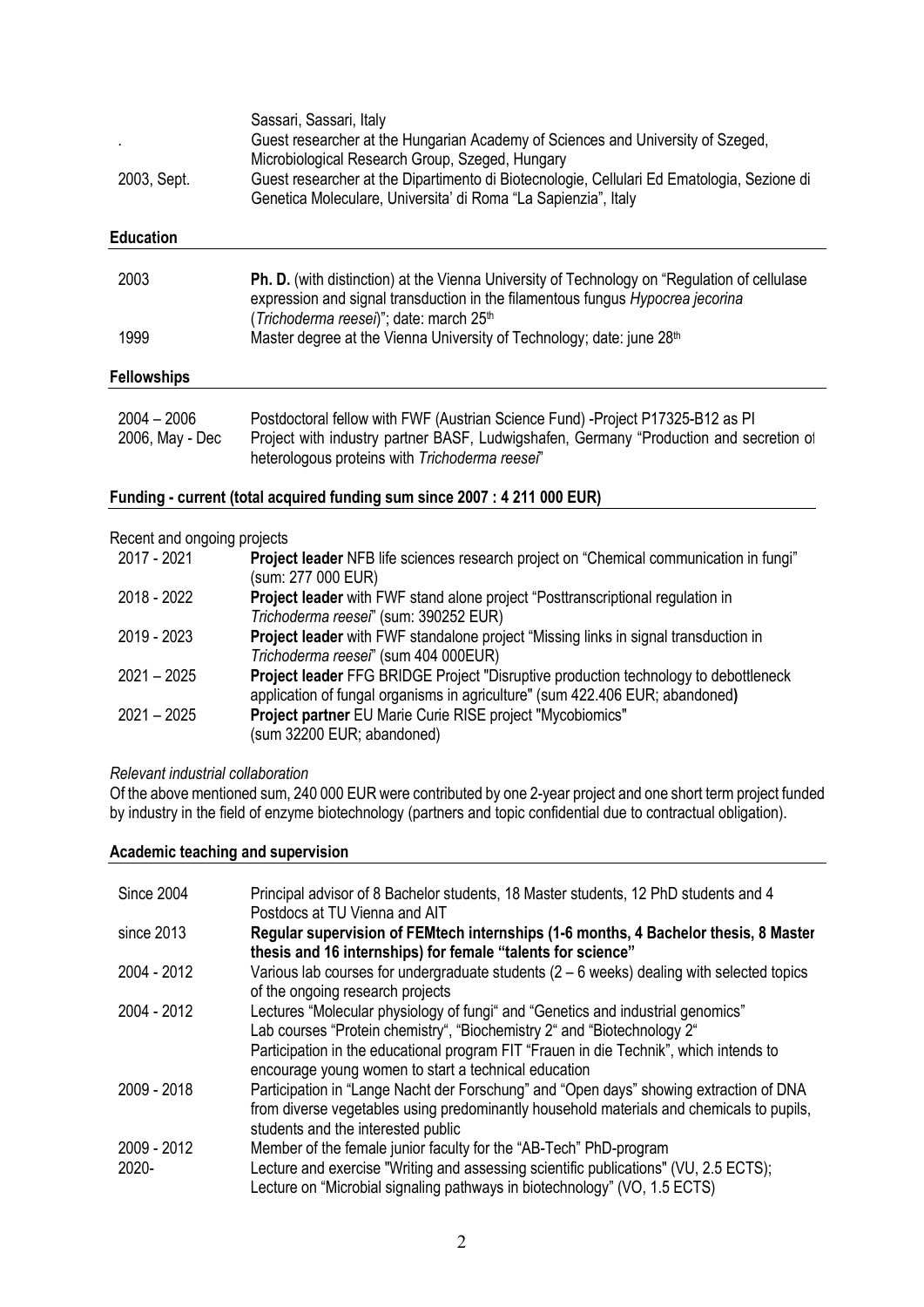| 2003, Sept.        | Sassari, Sassari, Italy<br>Guest researcher at the Hungarian Academy of Sciences and University of Szeged,<br>Microbiological Research Group, Szeged, Hungary<br>Guest researcher at the Dipartimento di Biotecnologie, Cellulari Ed Ematologia, Sezione di<br>Genetica Moleculare, Universita' di Roma "La Sapienzia", Italy |
|--------------------|-------------------------------------------------------------------------------------------------------------------------------------------------------------------------------------------------------------------------------------------------------------------------------------------------------------------------------|
| <b>Education</b>   |                                                                                                                                                                                                                                                                                                                               |
| 2003               | <b>Ph. D.</b> (with distinction) at the Vienna University of Technology on "Regulation of cellulase<br>expression and signal transduction in the filamentous fungus Hypocrea jecorina<br>(Trichoderma reesei)"; date: march 25 <sup>th</sup>                                                                                  |
| 1999               | Master degree at the Vienna University of Technology; date: june 28 <sup>th</sup>                                                                                                                                                                                                                                             |
| <b>Fellowships</b> |                                                                                                                                                                                                                                                                                                                               |

| $2004 - 2006$   | Postdoctoral fellow with FWF (Austrian Science Fund) -Project P17325-B12 as PI         |
|-----------------|----------------------------------------------------------------------------------------|
| 2006, May - Dec | Project with industry partner BASF, Ludwigshafen, Germany "Production and secretion of |
|                 | heterologous proteins with Trichoderma reesei"                                         |

### **Funding - current (total acquired funding sum since 2007 : 4 211 000 EUR)**

#### Recent and ongoing projects

| Project leader NFB life sciences research project on "Chemical communication in fungi"     |
|--------------------------------------------------------------------------------------------|
|                                                                                            |
|                                                                                            |
|                                                                                            |
|                                                                                            |
|                                                                                            |
|                                                                                            |
| <b>Project leader FFG BRIDGE Project "Disruptive production technology to debottleneck</b> |
|                                                                                            |
|                                                                                            |
|                                                                                            |
|                                                                                            |

#### *Relevant industrial collaboration*

Of the above mentioned sum, 240 000 EUR were contributed by one 2-year project and one short term project funded by industry in the field of enzyme biotechnology (partners and topic confidential due to contractual obligation).

#### **Academic teaching and supervision**

| Since 2004           | Principal advisor of 8 Bachelor students, 18 Master students, 12 PhD students and 4<br>Postdocs at TU Vienna and AIT                                                                                                                                                                                         |
|----------------------|--------------------------------------------------------------------------------------------------------------------------------------------------------------------------------------------------------------------------------------------------------------------------------------------------------------|
| since 2013           | Regular supervision of FEMtech internships (1-6 months, 4 Bachelor thesis, 8 Master<br>thesis and 16 internships) for female "talents for science"                                                                                                                                                           |
| 2004 - 2012          | Various lab courses for undergraduate students $(2 - 6$ weeks) dealing with selected topics<br>of the ongoing research projects                                                                                                                                                                              |
| 2004 - 2012          | Lectures "Molecular physiology of fungi" and "Genetics and industrial genomics"<br>Lab courses "Protein chemistry", "Biochemistry 2" and "Biotechnology 2"<br>Participation in the educational program FIT "Frauen in die Technik", which intends to<br>encourage young women to start a technical education |
| 2009 - 2018          | Participation in "Lange Nacht der Forschung" and "Open days" showing extraction of DNA<br>from diverse vegetables using predominantly household materials and chemicals to pupils,<br>students and the interested public                                                                                     |
| 2009 - 2012<br>2020- | Member of the female junior faculty for the "AB-Tech" PhD-program<br>Lecture and exercise "Writing and assessing scientific publications" (VU, 2.5 ECTS);<br>Lecture on "Microbial signaling pathways in biotechnology" (VO, 1.5 ECTS)                                                                       |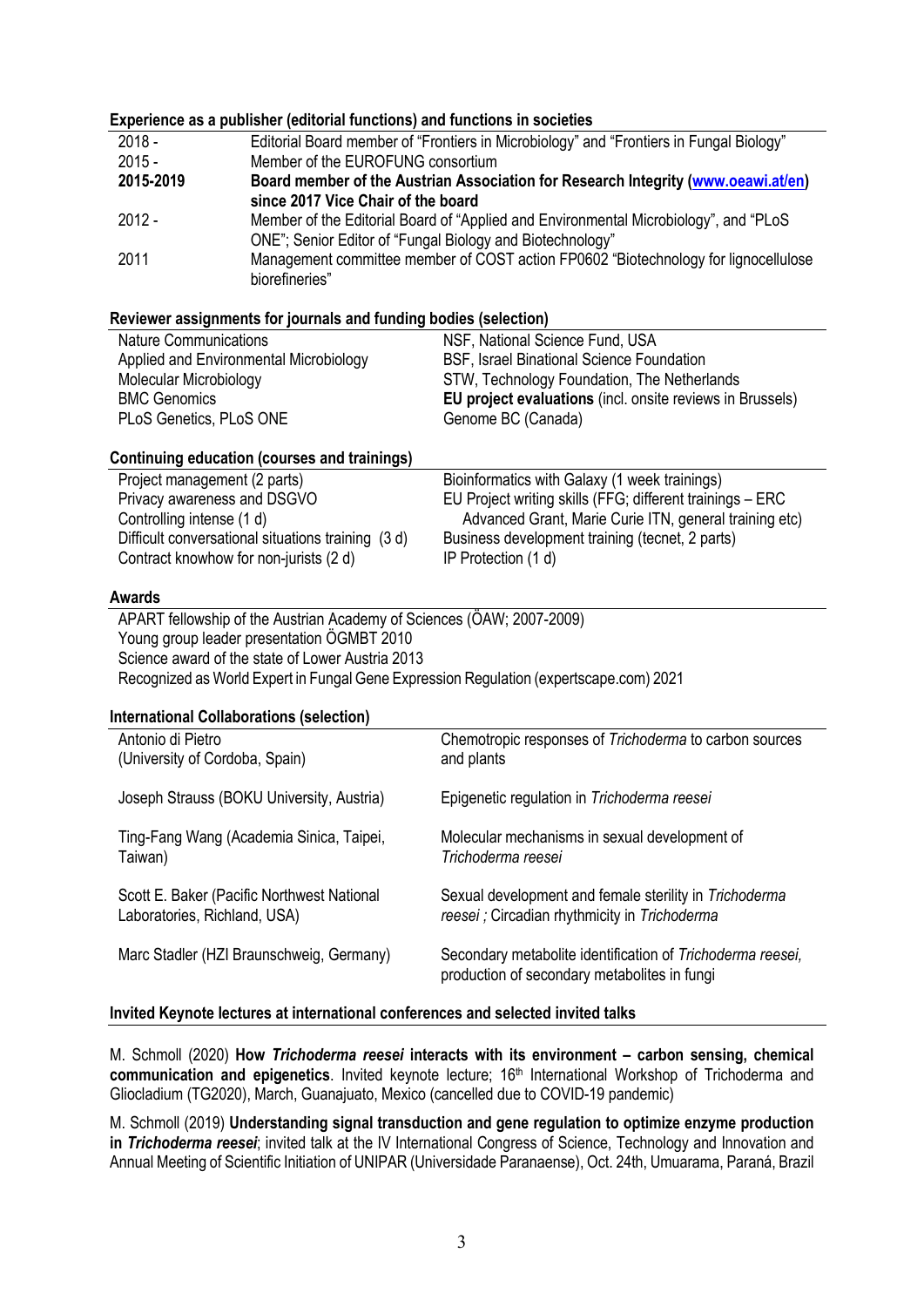#### **Experience as a publisher (editorial functions) and functions in societies** 2018 - Editorial Board member of "Frontiers in Microbiology" and "Frontiers in Fungal Biology" 2015 - Member of the EUROFUNG consortium<br>**2015-2019** Board member of the Austrian Associ **2015-2019 Board member of the Austrian Association for Research Integrity [\(www.oeawi.at/en\)](http://www.oeawi.at/en) since 2017 Vice Chair of the board** 2012 - Member of the Editorial Board of "Applied and Environmental Microbiology", and "PLoS ONE"; Senior Editor of "Fungal Biology and Biotechnology" 2011 Management committee member of COST action FP0602 "Biotechnology for lignocellulose biorefineries" **Reviewer assignments for journals and funding bodies (selection)** Nature Communications The Communications NSF, National Science Fund, USA Applied and Environmental Microbiology BSF, Israel Binational Science Foundation Molecular Microbiology<br>BMC Genomics<br>**STW, Technology Foundation, The Netherlands**<br>**EU project evaluations** (incl. onsite reviews in I **EU project evaluations** (incl. onsite reviews in Brussels) PLoS Genetics, PLoS ONE Genome BC (Canada) **Continuing education (courses and trainings)** Project management (2 parts) Bioinformatics with Galaxy (1 week trainings) Privacy awareness and DSGVO EU Project writing skills (FFG; different trainings – ERC Controlling intense (1 d)  $\blacksquare$  Advanced Grant, Marie Curie ITN, general training etc) Difficult conversational situations training (3 d) Business development training (tecnet, 2 parts) Contract knowhow for non-jurists (2 d) IP Protection (1 d) **Awards** APART fellowship of the Austrian Academy of Sciences (ÖAW; 2007-2009) Young group leader presentation ÖGMBT 2010 Science award of the state of Lower Austria 2013 Recognized as World Expert in Fungal Gene Expression Regulation (expertscape.com) 2021 **International Collaborations (selection)** Antonio di Pietro (University of Cordoba, Spain) Chemotropic responses of *Trichoderma* to carbon sources and plants Joseph Strauss (BOKU University, Austria) Epigenetic regulation in *Trichoderma reesei* Ting-Fang Wang (Academia Sinica, Taipei, Taiwan) Molecular mechanisms in sexual development of *Trichoderma reesei* Scott E. Baker (Pacific Northwest National Laboratories, Richland, USA) Sexual development and female sterility in *Trichoderma reesei ;* Circadian rhythmicity in *Trichoderma* Marc Stadler (HZI Braunschweig, Germany) Secondary metabolite identification of *Trichoderma reesei,*  production of secondary metabolites in fungi **Invited Keynote lectures at international conferences and selected invited talks**

M. Schmoll (2020) **How** *Trichoderma reesei* **interacts with its environment – carbon sensing, chemical**  communication and epigenetics. Invited keynote lecture; 16<sup>th</sup> International Workshop of Trichoderma and Gliocladium (TG2020), March, Guanajuato, Mexico (cancelled due to COVID-19 pandemic)

M. Schmoll (2019) **Understanding signal transduction and gene regulation to optimize enzyme production in** *Trichoderma reesei*; invited talk at the IV International Congress of Science, Technology and Innovation and Annual Meeting of Scientific Initiation of UNIPAR (Universidade Paranaense), Oct. 24th, Umuarama, Paraná, Brazil